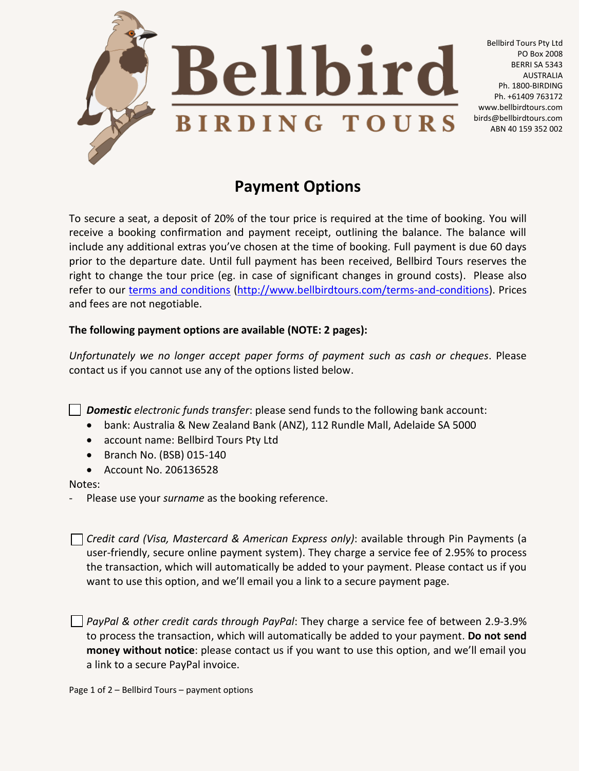

PO Box 2008

AUSTRALIA

**Payment Options**

To secure a seat, a deposit of 20% of the tour price is required at the time of booking. You will receive a booking confirmation and payment receipt, outlining the balance. The balance will include any additional extras you've chosen at the time of booking. Full payment is due 60 days prior to the departure date. Until full payment has been received, Bellbird Tours reserves the right to change the tour price (eg. in case of significant changes in ground costs). Please also refer to our [terms and conditions](http://www.bellbirdtours.com/terms-and-conditions/) [\(http://www.bellbirdtours.com/terms-and-conditions\)](http://www.bellbirdtours.com/terms-and-conditions). Prices and fees are not negotiable.

## **The following payment options are available (NOTE: 2 pages):**

*Unfortunately we no longer accept paper forms of payment such as cash or cheques*. Please contact us if you cannot use any of the options listed below.

*Domestic electronic funds transfer*: please send funds to the following bank account:

- bank: Australia & New Zealand Bank (ANZ), 112 Rundle Mall, Adelaide SA 5000
- account name: Bellbird Tours Pty Ltd
- $\bullet$  Branch No. (BSB) 015-140
- Account No. 206136528

## Notes:

- Please use your *surname* as the booking reference.

*Credit card (Visa, Mastercard & American Express only)*: available through Pin Payments (a user-friendly, secure online payment system). They charge a service fee of 2.95% to process the transaction, which will automatically be added to your payment. Please contact us if you want to use this option, and we'll email you a link to a secure payment page.

*PayPal & other credit cards through PayPal*: They charge a service fee of between 2.9-3.9% to process the transaction, which will automatically be added to your payment. **Do not send money without notice**: please contact us if you want to use this option, and we'll email you a link to a secure PayPal invoice.